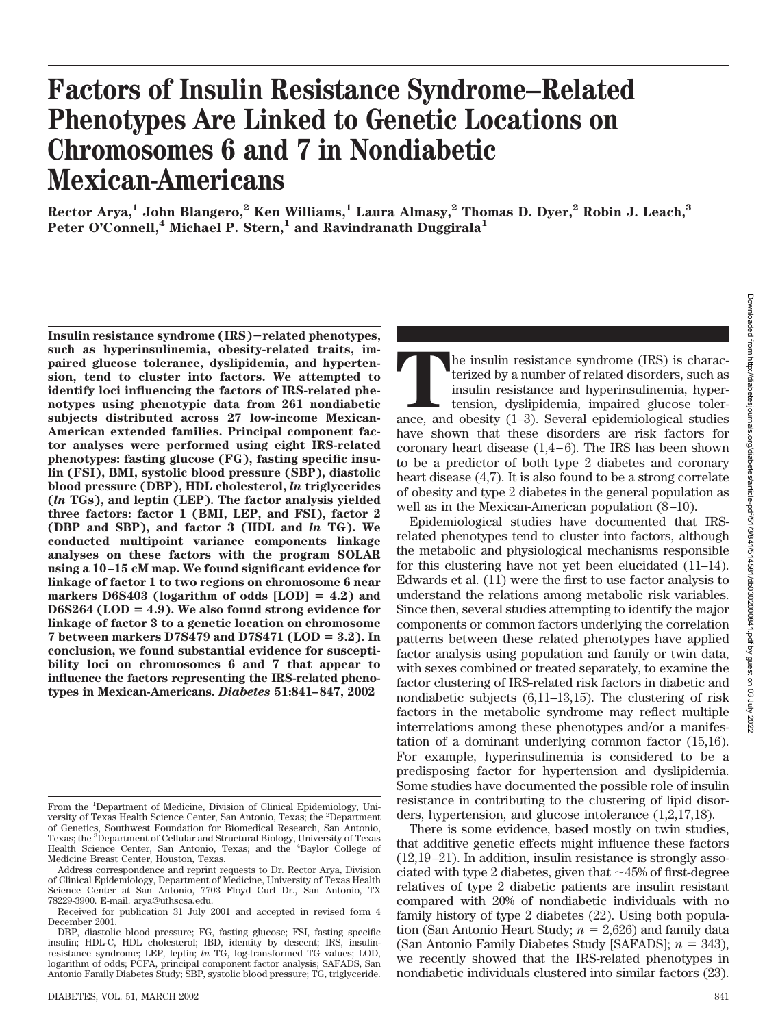# **Factors of Insulin Resistance Syndrome–Related Phenotypes Are Linked to Genetic Locations on Chromosomes 6 and 7 in Nondiabetic Mexican-Americans**

**Rector Arya,1 John Blangero,2 Ken Williams,1 Laura Almasy,2 Thomas D. Dyer,2 Robin J. Leach,3** Peter O'Connell,<sup>4</sup> Michael P. Stern,<sup>1</sup> and Ravindranath Duggirala<sup>1</sup>

**Insulin resistance syndrome (IRS)related phenotypes, such as hyperinsulinemia, obesity-related traits, impaired glucose tolerance, dyslipidemia, and hypertension, tend to cluster into factors. We attempted to identify loci influencing the factors of IRS-related phenotypes using phenotypic data from 261 nondiabetic subjects distributed across 27 low-income Mexican-American extended families. Principal component factor analyses were performed using eight IRS-related phenotypes: fasting glucose (FG), fasting specific insulin (FSI), BMI, systolic blood pressure (SBP), diastolic blood pressure (DBP), HDL cholesterol,** *ln* **triglycerides (***ln* **TGs), and leptin (LEP). The factor analysis yielded three factors: factor 1 (BMI, LEP, and FSI), factor 2 (DBP and SBP), and factor 3 (HDL and** *ln* **TG). We conducted multipoint variance components linkage analyses on these factors with the program SOLAR using a 10–15 cM map. We found significant evidence for linkage of factor 1 to two regions on chromosome 6 near** markers D6S403 (logarithm of odds [LOD] = 4.2) and D6S264 (LOD = 4.9). We also found strong evidence for **linkage of factor 3 to a genetic location on chromosome** 7 between markers D7S479 and D7S471 (LOD = 3.2). In **conclusion, we found substantial evidence for susceptibility loci on chromosomes 6 and 7 that appear to influence the factors representing the IRS-related phenotypes in Mexican-Americans.** *Diabetes* **51:841–847, 2002**

**T**he insulin resistance syndrome (IRS) is characterized by a number of related disorders, such as insulin resistance and hyperinsulinemia, hypertension, dyslipidemia, impaired glucose tolerance, and obesity (1–3). Several epidemiological studies have shown that these disorders are risk factors for coronary heart disease (1,4–6). The IRS has been shown to be a predictor of both type 2 diabetes and coronary heart disease (4,7). It is also found to be a strong correlate of obesity and type 2 diabetes in the general population as well as in the Mexican-American population (8–10).

Epidemiological studies have documented that IRSrelated phenotypes tend to cluster into factors, although the metabolic and physiological mechanisms responsible for this clustering have not yet been elucidated (11–14). Edwards et al. (11) were the first to use factor analysis to understand the relations among metabolic risk variables. Since then, several studies attempting to identify the major components or common factors underlying the correlation patterns between these related phenotypes have applied factor analysis using population and family or twin data, with sexes combined or treated separately, to examine the factor clustering of IRS-related risk factors in diabetic and nondiabetic subjects (6,11–13,15). The clustering of risk factors in the metabolic syndrome may reflect multiple interrelations among these phenotypes and/or a manifestation of a dominant underlying common factor (15,16). For example, hyperinsulinemia is considered to be a predisposing factor for hypertension and dyslipidemia. Some studies have documented the possible role of insulin resistance in contributing to the clustering of lipid disorders, hypertension, and glucose intolerance (1,2,17,18).

There is some evidence, based mostly on twin studies, that additive genetic effects might influence these factors (12,19–21). In addition, insulin resistance is strongly associated with type 2 diabetes, given that  $\sim$  45% of first-degree relatives of type 2 diabetic patients are insulin resistant compared with 20% of nondiabetic individuals with no family history of type 2 diabetes (22). Using both popula- $\frac{1}{\pi}$  (San Antonio Heart Study;  $n = 2.626$ ) and family data  $(San Antonio Family Diabetes Study [SAFADS];  $n = 343$ ),$ we recently showed that the IRS-related phenotypes in nondiabetic individuals clustered into similar factors (23).

From the <sup>1</sup>Department of Medicine, Division of Clinical Epidemiology, University of Texas Health Science Center, San Antonio, Texas; the <sup>2</sup> Department of Genetics, Southwest Foundation for Biomedical Research, San Antonio, Texas; the <sup>3</sup>Department of Cellular and Structural Biology, University of Texas<br>Health Science Center, San Antonio, Texas; and the <sup>4</sup>Baylor College of Medicine Breast Center, Houston, Texas.

Address correspondence and reprint requests to Dr. Rector Arya, Division of Clinical Epidemiology, Department of Medicine, University of Texas Health Science Center at San Antonio, 7703 Floyd Curl Dr., San Antonio, TX 78229-3900. E-mail: arya@uthscsa.edu.

Received for publication 31 July 2001 and accepted in revised form 4 December 2001.

DBP, diastolic blood pressure; FG, fasting glucose; FSI, fasting specific insulin; HDL-C, HDL cholesterol; IBD, identity by descent; IRS, insulinresistance syndrome; LEP, leptin; *ln* TG, log-transformed TG values; LOD, logarithm of odds; PCFA, principal component factor analysis; SAFADS, San Antonio Family Diabetes Study; SBP, systolic blood pressure; TG, triglyceride.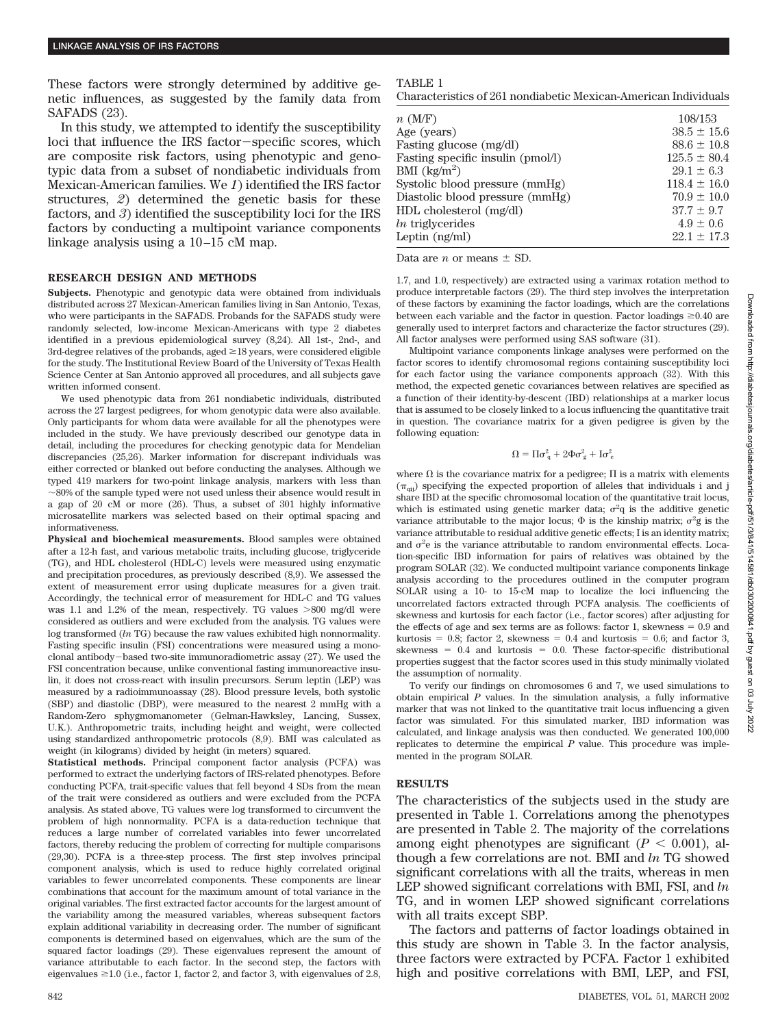These factors were strongly determined by additive genetic influences, as suggested by the family data from SAFADS (23).

In this study, we attempted to identify the susceptibility loci that influence the IRS factor-specific scores, which are composite risk factors, using phenotypic and genotypic data from a subset of nondiabetic individuals from Mexican-American families. We *1*) identified the IRS factor structures, *2*) determined the genetic basis for these factors, and *3*) identified the susceptibility loci for the IRS factors by conducting a multipoint variance components linkage analysis using a 10–15 cM map.

#### **RESEARCH DESIGN AND METHODS**

**Subjects.** Phenotypic and genotypic data were obtained from individuals distributed across 27 Mexican-American families living in San Antonio, Texas, who were participants in the SAFADS. Probands for the SAFADS study were randomly selected, low-income Mexican-Americans with type 2 diabetes identified in a previous epidemiological survey (8,24). All 1st-, 2nd-, and  $3rd$ -degree relatives of the probands, aged  $\geq$  18 years, were considered eligible for the study. The Institutional Review Board of the University of Texas Health Science Center at San Antonio approved all procedures, and all subjects gave written informed consent.

We used phenotypic data from 261 nondiabetic individuals, distributed across the 27 largest pedigrees, for whom genotypic data were also available. Only participants for whom data were available for all the phenotypes were included in the study. We have previously described our genotype data in detail, including the procedures for checking genotypic data for Mendelian discrepancies (25,26). Marker information for discrepant individuals was either corrected or blanked out before conducting the analyses. Although we typed 419 markers for two-point linkage analysis, markers with less than 80% of the sample typed were not used unless their absence would result in a gap of 20 cM or more (26). Thus, a subset of 301 highly informative microsatellite markers was selected based on their optimal spacing and informativeness.

**Physical and biochemical measurements.** Blood samples were obtained after a 12-h fast, and various metabolic traits, including glucose, triglyceride (TG), and HDL cholesterol (HDL-C) levels were measured using enzymatic and precipitation procedures, as previously described (8,9). We assessed the extent of measurement error using duplicate measures for a given trait. Accordingly, the technical error of measurement for HDL-C and TG values was 1.1 and 1.2% of the mean, respectively. TG values  $>800$  mg/dl were considered as outliers and were excluded from the analysis. TG values were log transformed (*ln* TG) because the raw values exhibited high nonnormality. Fasting specific insulin (FSI) concentrations were measured using a monoclonal antibody-based two-site immunoradiometric assay  $(27)$ . We used the FSI concentration because, unlike conventional fasting immunoreactive insulin, it does not cross-react with insulin precursors. Serum leptin (LEP) was measured by a radioimmunoassay (28). Blood pressure levels, both systolic (SBP) and diastolic (DBP), were measured to the nearest 2 mmHg with a Random-Zero sphygmomanometer (Gelman-Hawksley, Lancing, Sussex, U.K.). Anthropometric traits, including height and weight, were collected using standardized anthropometric protocols (8,9). BMI was calculated as weight (in kilograms) divided by height (in meters) squared.

**Statistical methods.** Principal component factor analysis (PCFA) was performed to extract the underlying factors of IRS-related phenotypes. Before conducting PCFA, trait-specific values that fell beyond 4 SDs from the mean of the trait were considered as outliers and were excluded from the PCFA analysis. As stated above, TG values were log transformed to circumvent the problem of high nonnormality. PCFA is a data-reduction technique that reduces a large number of correlated variables into fewer uncorrelated factors, thereby reducing the problem of correcting for multiple comparisons (29,30). PCFA is a three-step process. The first step involves principal component analysis, which is used to reduce highly correlated original variables to fewer uncorrelated components. These components are linear combinations that account for the maximum amount of total variance in the original variables. The first extracted factor accounts for the largest amount of the variability among the measured variables, whereas subsequent factors explain additional variability in decreasing order. The number of significant components is determined based on eigenvalues, which are the sum of the squared factor loadings (29). These eigenvalues represent the amount of variance attributable to each factor. In the second step, the factors with eigenvalues  $\geq 1.0$  (i.e., factor 1, factor 2, and factor 3, with eigenvalues of 2.8,

## TABLE 1

Characteristics of 261 nondiabetic Mexican-American Individuals

| 108/153          |
|------------------|
| $38.5 \pm 15.6$  |
| $88.6 \pm 10.8$  |
| $125.5 \pm 80.4$ |
| $29.1 \pm 6.3$   |
| $118.4 \pm 16.0$ |
| $70.9 \pm 10.0$  |
| $37.7 \pm 9.7$   |
| $4.9 \pm 0.6$    |
| $22.1 \pm 17.3$  |
|                  |

Data are *n* or means  $\pm$  SD.

1.7, and 1.0, respectively) are extracted using a varimax rotation method to produce interpretable factors (29). The third step involves the interpretation of these factors by examining the factor loadings, which are the correlations between each variable and the factor in question. Factor loadings  $\geq 0.40$  are generally used to interpret factors and characterize the factor structures (29). All factor analyses were performed using SAS software (31).

Multipoint variance components linkage analyses were performed on the factor scores to identify chromosomal regions containing susceptibility loci for each factor using the variance components approach (32). With this method, the expected genetic covariances between relatives are specified as a function of their identity-by-descent (IBD) relationships at a marker locus that is assumed to be closely linked to a locus influencing the quantitative trait in question. The covariance matrix for a given pedigree is given by the following equation:

$$
\Omega = \Pi \sigma_q^2 + 2\Phi \sigma_g^2 + I \sigma_e^2
$$

where  $\Omega$  is the covariance matrix for a pedigree;  $\Pi$  is a matrix with elements  $(\pi_{qij})$  specifying the expected proportion of alleles that individuals i and j share IBD at the specific chromosomal location of the quantitative trait locus, which is estimated using genetic marker data;  $\sigma^2 q$  is the additive genetic variance attributable to the major locus;  $\Phi$  is the kinship matrix;  $\sigma^2$ g is the variance attributable to residual additive genetic effects; I is an identity matrix; and  $\sigma^2$ e is the variance attributable to random environmental effects. Location-specific IBD information for pairs of relatives was obtained by the program SOLAR (32). We conducted multipoint variance components linkage analysis according to the procedures outlined in the computer program SOLAR using a 10- to 15-cM map to localize the loci influencing the uncorrelated factors extracted through PCFA analysis. The coefficients of skewness and kurtosis for each factor (i.e., factor scores) after adjusting for the effects of age and sex terms are as follows: factor  $1$ , skewness  $= 0.9$  and kurtosis =  $0.8$ ; factor 2, skewness =  $0.4$  and kurtosis =  $0.6$ ; and factor 3,  $skewness = 0.4$  and kurtosis = 0.0. These factor-specific distributional properties suggest that the factor scores used in this study minimally violated the assumption of normality.

To verify our findings on chromosomes 6 and 7, we used simulations to obtain empirical *P* values. In the simulation analysis, a fully informative marker that was not linked to the quantitative trait locus influencing a given factor was simulated. For this simulated marker, IBD information was calculated, and linkage analysis was then conducted. We generated 100,000 replicates to determine the empirical *P* value. This procedure was implemented in the program SOLAR.

## **RESULTS**

The characteristics of the subjects used in the study are presented in Table 1. Correlations among the phenotypes are presented in Table 2. The majority of the correlations among eight phenotypes are significant  $(P < 0.001)$ , although a few correlations are not. BMI and *ln* TG showed significant correlations with all the traits, whereas in men LEP showed significant correlations with BMI, FSI, and *ln* TG, and in women LEP showed significant correlations with all traits except SBP.

The factors and patterns of factor loadings obtained in this study are shown in Table 3. In the factor analysis, three factors were extracted by PCFA. Factor 1 exhibited high and positive correlations with BMI, LEP, and FSI,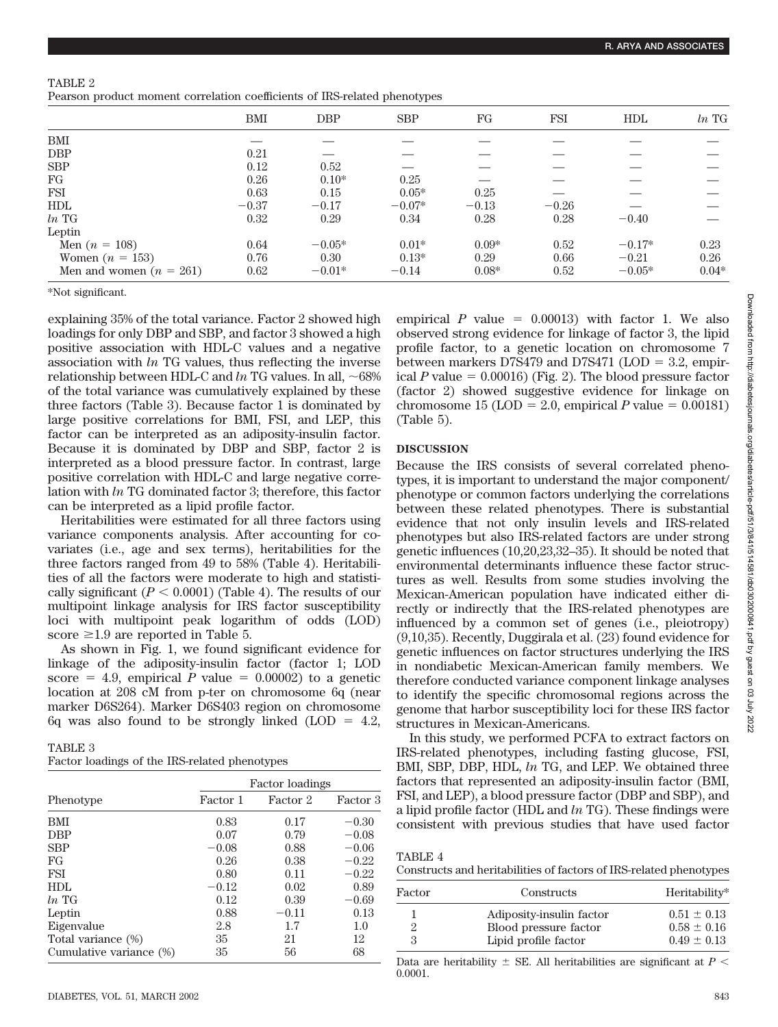|                           | <b>BMI</b> | <b>DBP</b> | <b>SBP</b> | FG      | <b>FSI</b> | HDL      | $ln$ TG |
|---------------------------|------------|------------|------------|---------|------------|----------|---------|
| BMI                       |            |            |            |         |            |          |         |
| <b>DBP</b>                | 0.21       |            |            |         |            |          |         |
| <b>SBP</b>                | 0.12       | 0.52       |            |         |            |          |         |
| FG                        | 0.26       | $0.10*$    | 0.25       |         |            |          |         |
| <b>FSI</b>                | 0.63       | 0.15       | $0.05*$    | 0.25    |            |          |         |
| <b>HDL</b>                | $-0.37$    | $-0.17$    | $-0.07*$   | $-0.13$ | $-0.26$    |          |         |
| $ln$ TG                   | 0.32       | 0.29       | 0.34       | 0.28    | 0.28       | $-0.40$  |         |
| Leptin                    |            |            |            |         |            |          |         |
| Men $(n = 108)$           | 0.64       | $-0.05*$   | $0.01*$    | $0.09*$ | 0.52       | $-0.17*$ | 0.23    |
| Women $(n = 153)$         | 0.76       | 0.30       | $0.13*$    | 0.29    | 0.66       | $-0.21$  | 0.26    |
| Men and women $(n = 261)$ | 0.62       | $-0.01*$   | $-0.14$    | $0.08*$ | 0.52       | $-0.05*$ | $0.04*$ |

| TABLE 2                                                                   |  |  |
|---------------------------------------------------------------------------|--|--|
| Pearson product moment correlation coefficients of IRS-related phenotypes |  |  |

\*Not significant.

explaining 35% of the total variance. Factor 2 showed high loadings for only DBP and SBP, and factor 3 showed a high positive association with HDL-C values and a negative association with *ln* TG values, thus reflecting the inverse relationship between HDL-C and  $ln$  TG values. In all,  $\sim$ 68% of the total variance was cumulatively explained by these three factors (Table 3). Because factor 1 is dominated by large positive correlations for BMI, FSI, and LEP, this factor can be interpreted as an adiposity-insulin factor. Because it is dominated by DBP and SBP, factor 2 is interpreted as a blood pressure factor. In contrast, large positive correlation with HDL-C and large negative correlation with *ln* TG dominated factor 3; therefore, this factor can be interpreted as a lipid profile factor.

Heritabilities were estimated for all three factors using variance components analysis. After accounting for covariates (i.e., age and sex terms), heritabilities for the three factors ranged from 49 to 58% (Table 4). Heritabilities of all the factors were moderate to high and statistically significant  $(P < 0.0001)$  (Table 4). The results of our multipoint linkage analysis for IRS factor susceptibility loci with multipoint peak logarithm of odds (LOD) score  $\geq 1.9$  are reported in Table 5.

As shown in Fig. 1, we found significant evidence for linkage of the adiposity-insulin factor (factor 1; LOD score  $= 4.9$ , empirical *P* value  $= 0.00002$  to a genetic location at 208 cM from p-ter on chromosome 6q (near marker D6S264). Marker D6S403 region on chromosome  $6q$  was also found to be strongly linked (LOD = 4.2,

| TABLE 3                                       |  |
|-----------------------------------------------|--|
| Factor loadings of the IRS-related phenotypes |  |

|                         | Factor loadings |          |          |  |  |
|-------------------------|-----------------|----------|----------|--|--|
| Phenotype               | Factor 1        | Factor 2 | Factor 3 |  |  |
| <b>BMI</b>              | 0.83            | 0.17     | $-0.30$  |  |  |
| <b>DBP</b>              | 0.07            | 0.79     | $-0.08$  |  |  |
| <b>SBP</b>              | $-0.08$         | 0.88     | $-0.06$  |  |  |
| FG                      | 0.26            | 0.38     | $-0.22$  |  |  |
| <b>FSI</b>              | 0.80            | 0.11     | $-0.22$  |  |  |
| HDL                     | $-0.12$         | 0.02     | 0.89     |  |  |
| $ln$ TG                 | 0.12            | 0.39     | $-0.69$  |  |  |
| Leptin                  | 0.88            | $-0.11$  | 0.13     |  |  |
| Eigenvalue              | 2.8             | 1.7      | 1.0      |  |  |
| Total variance (%)      | 35              | 21       | 12       |  |  |
| Cumulative variance (%) | 35              | 56       | 68       |  |  |

empirical  $P$  value  $= 0.00013$ ) with factor 1. We also observed strong evidence for linkage of factor 3, the lipid profile factor, to a genetic location on chromosome 7 between markers  $D7S479$  and  $D7S471$  ( $LOD = 3.2$ , empirical  $P$  value  $= 0.00016$ ) (Fig. 2). The blood pressure factor (factor 2) showed suggestive evidence for linkage on chromosome  $15 (LOD = 2.0, empirical P value = 0.00181)$ (Table 5).

# **DISCUSSION**

Because the IRS consists of several correlated phenotypes, it is important to understand the major component/ phenotype or common factors underlying the correlations between these related phenotypes. There is substantial evidence that not only insulin levels and IRS-related phenotypes but also IRS-related factors are under strong genetic influences (10,20,23,32–35). It should be noted that environmental determinants influence these factor structures as well. Results from some studies involving the Mexican-American population have indicated either directly or indirectly that the IRS-related phenotypes are influenced by a common set of genes (i.e., pleiotropy) (9,10,35). Recently, Duggirala et al. (23) found evidence for genetic influences on factor structures underlying the IRS in nondiabetic Mexican-American family members. We therefore conducted variance component linkage analyses to identify the specific chromosomal regions across the genome that harbor susceptibility loci for these IRS factor structures in Mexican-Americans.

In this study, we performed PCFA to extract factors on IRS-related phenotypes, including fasting glucose, FSI, BMI, SBP, DBP, HDL, *ln* TG, and LEP. We obtained three factors that represented an adiposity-insulin factor (BMI, FSI, and LEP), a blood pressure factor (DBP and SBP), and a lipid profile factor (HDL and *ln* TG). These findings were consistent with previous studies that have used factor

| TABLE 4                                                            |  |
|--------------------------------------------------------------------|--|
| Constructs and heritabilities of factors of IRS-related phenotypes |  |

| Factor | Constructs               | Heritability*   |
|--------|--------------------------|-----------------|
|        | Adiposity-insulin factor | $0.51 \pm 0.13$ |
|        | Blood pressure factor    | $0.58 \pm 0.16$ |
| З      | Lipid profile factor     | $0.49 \pm 0.13$ |

Data are heritability  $\pm$  SE. All heritabilities are significant at  $P \leq$ 0.0001.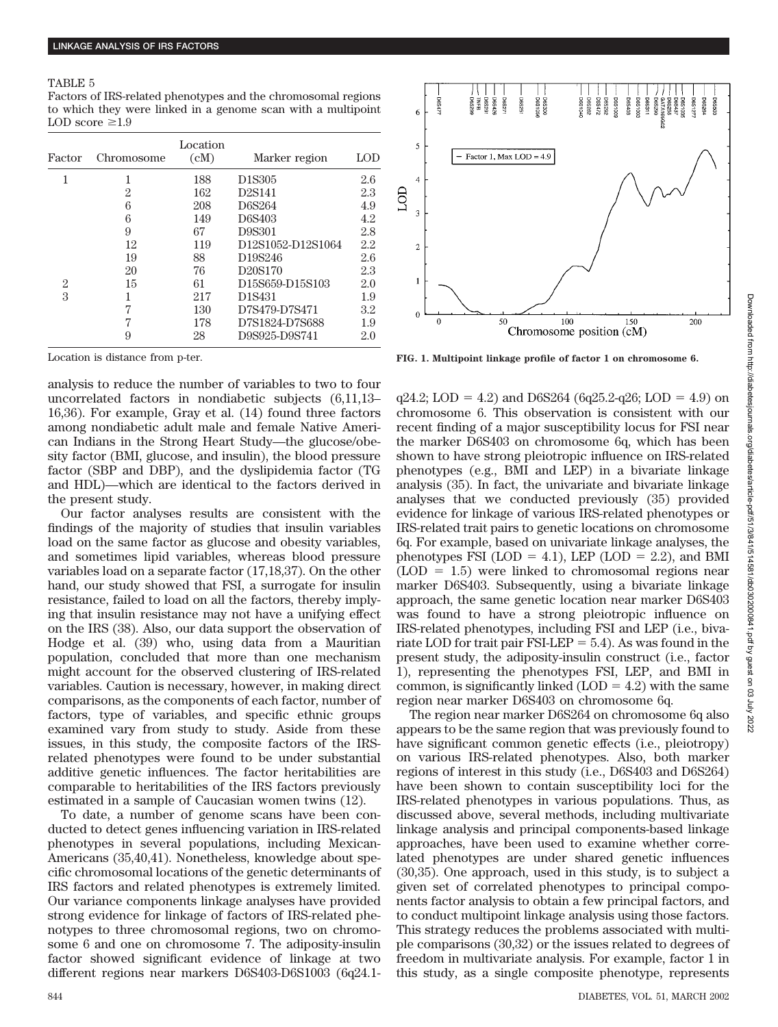### TABLE 5

Factors of IRS-related phenotypes and the chromosomal regions to which they were linked in a genome scan with a multipoint LOD score  $\geq 1.9$ 

| Factor | Chromosome | Location<br>(cM) | Marker region                                                    | $\mathop{\rm LOD}$ |
|--------|------------|------------------|------------------------------------------------------------------|--------------------|
|        |            | 188              | D <sub>1</sub> S <sub>305</sub>                                  | 2.6                |
|        | 2          | 162              | D2S141                                                           | 2.3                |
|        | 6          | 208              | D6S264                                                           | 4.9                |
|        | 6          | 149              | D6S403                                                           | 4.2                |
|        | 9          | 67               | D9S301                                                           | 2.8                |
|        | 12         | 119              | D <sub>12</sub> S <sub>1052</sub> -D <sub>12S1064</sub>          | 2.2                |
|        | 19         | 88               | D <sub>19</sub> S <sub>246</sub>                                 | 2.6                |
|        | 20         | 76               | D <sub>20</sub> S <sub>170</sub>                                 | 2.3                |
| 2      | 15         | 61               | D <sub>15</sub> S <sub>659</sub> -D <sub>15S<sub>103</sub></sub> | 2.0                |
| 3      |            | 217              | D <sub>1</sub> S <sub>431</sub>                                  | 1.9                |
|        | 7          | 130              | D7S479-D7S471                                                    | 3.2                |
|        | 7          | 178              | D7S1824-D7S688                                                   | 1.9                |
|        | 9          | 28               | D9S925-D9S741                                                    | 2.0                |

Location is distance from p-ter.

analysis to reduce the number of variables to two to four uncorrelated factors in nondiabetic subjects (6,11,13– 16,36). For example, Gray et al. (14) found three factors among nondiabetic adult male and female Native American Indians in the Strong Heart Study—the glucose/obesity factor (BMI, glucose, and insulin), the blood pressure factor (SBP and DBP), and the dyslipidemia factor (TG and HDL)—which are identical to the factors derived in the present study.

Our factor analyses results are consistent with the findings of the majority of studies that insulin variables load on the same factor as glucose and obesity variables, and sometimes lipid variables, whereas blood pressure variables load on a separate factor (17,18,37). On the other hand, our study showed that FSI, a surrogate for insulin resistance, failed to load on all the factors, thereby implying that insulin resistance may not have a unifying effect on the IRS (38). Also, our data support the observation of Hodge et al. (39) who, using data from a Mauritian population, concluded that more than one mechanism might account for the observed clustering of IRS-related variables. Caution is necessary, however, in making direct comparisons, as the components of each factor, number of factors, type of variables, and specific ethnic groups examined vary from study to study. Aside from these issues, in this study, the composite factors of the IRSrelated phenotypes were found to be under substantial additive genetic influences. The factor heritabilities are comparable to heritabilities of the IRS factors previously estimated in a sample of Caucasian women twins (12).

To date, a number of genome scans have been conducted to detect genes influencing variation in IRS-related phenotypes in several populations, including Mexican-Americans (35,40,41). Nonetheless, knowledge about specific chromosomal locations of the genetic determinants of IRS factors and related phenotypes is extremely limited. Our variance components linkage analyses have provided strong evidence for linkage of factors of IRS-related phenotypes to three chromosomal regions, two on chromosome 6 and one on chromosome 7. The adiposity-insulin factor showed significant evidence of linkage at two different regions near markers D6S403-D6S1003 (6q24.1-



**FIG. 1. Multipoint linkage profile of factor 1 on chromosome 6.**

 $q24.2$ ; LOD = 4.2) and D6S264 (6 $q25.2$ - $q26$ ; LOD = 4.9) on chromosome 6. This observation is consistent with our recent finding of a major susceptibility locus for FSI near the marker D6S403 on chromosome 6q, which has been shown to have strong pleiotropic influence on IRS-related phenotypes (e.g., BMI and LEP) in a bivariate linkage analysis (35). In fact, the univariate and bivariate linkage analyses that we conducted previously (35) provided evidence for linkage of various IRS-related phenotypes or IRS-related trait pairs to genetic locations on chromosome 6q. For example, based on univariate linkage analyses, the phenotypes FSI  $(LOD = 4.1)$ , LEP  $(LOD = 2.2)$ , and BMI  $(LOD = 1.5)$  were linked to chromosomal regions near marker D6S403. Subsequently, using a bivariate linkage approach, the same genetic location near marker D6S403 was found to have a strong pleiotropic influence on IRS-related phenotypes, including FSI and LEP (i.e., bivariate LOD for trait pair  $FSI-LEP = 5.4$ ). As was found in the present study, the adiposity-insulin construct (i.e., factor 1), representing the phenotypes FSI, LEP, and BMI in common, is significantly linked  $(LOD = 4.2)$  with the same region near marker D6S403 on chromosome 6q.

The region near marker D6S264 on chromosome 6q also appears to be the same region that was previously found to have significant common genetic effects (i.e., pleiotropy) on various IRS-related phenotypes. Also, both marker regions of interest in this study (i.e., D6S403 and D6S264) have been shown to contain susceptibility loci for the IRS-related phenotypes in various populations. Thus, as discussed above, several methods, including multivariate linkage analysis and principal components-based linkage approaches, have been used to examine whether correlated phenotypes are under shared genetic influences (30,35). One approach, used in this study, is to subject a given set of correlated phenotypes to principal components factor analysis to obtain a few principal factors, and to conduct multipoint linkage analysis using those factors. This strategy reduces the problems associated with multiple comparisons (30,32) or the issues related to degrees of freedom in multivariate analysis. For example, factor 1 in this study, as a single composite phenotype, represents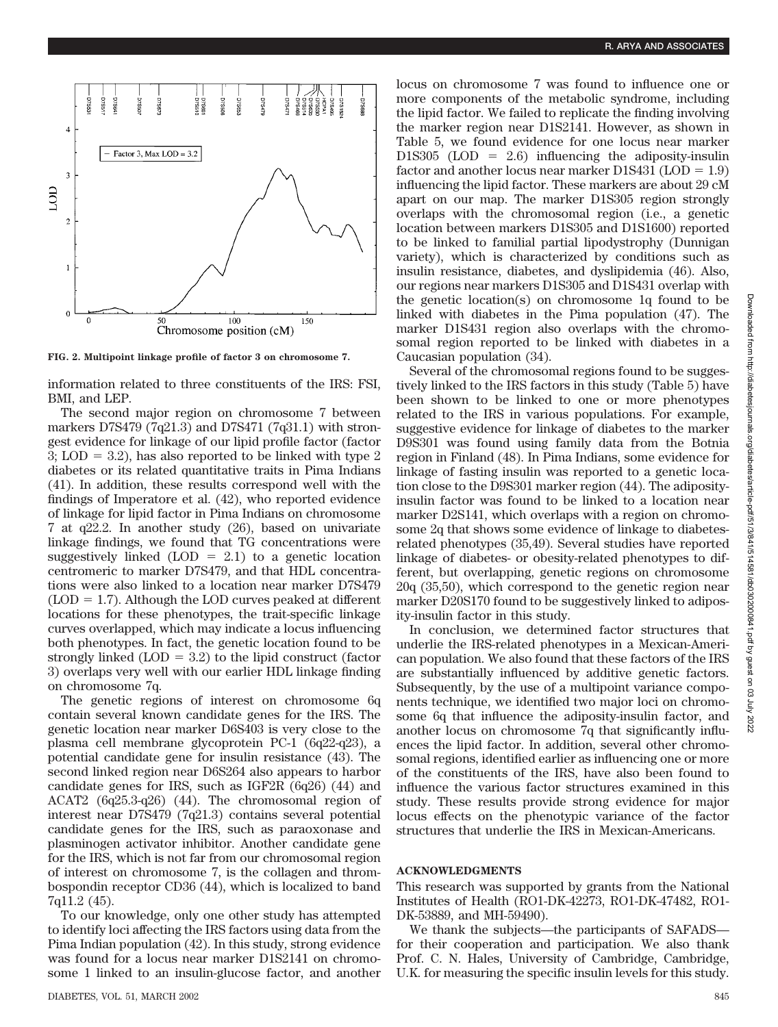

**FIG. 2. Multipoint linkage profile of factor 3 on chromosome 7.**

information related to three constituents of the IRS: FSI, BMI, and LEP.

The second major region on chromosome 7 between markers D7S479 (7q21.3) and D7S471 (7q31.1) with strongest evidence for linkage of our lipid profile factor (factor  $3$ ; LOD = 3.2), has also reported to be linked with type 2 diabetes or its related quantitative traits in Pima Indians (41). In addition, these results correspond well with the findings of Imperatore et al. (42), who reported evidence of linkage for lipid factor in Pima Indians on chromosome 7 at q22.2. In another study (26), based on univariate linkage findings, we found that TG concentrations were suggestively linked  $(LOD = 2.1)$  to a genetic location centromeric to marker D7S479, and that HDL concentrations were also linked to a location near marker D7S479  $(LOD = 1.7)$ . Although the LOD curves peaked at different locations for these phenotypes, the trait-specific linkage curves overlapped, which may indicate a locus influencing both phenotypes. In fact, the genetic location found to be strongly linked  $(LOD = 3.2)$  to the lipid construct (factor 3) overlaps very well with our earlier HDL linkage finding on chromosome 7q.

The genetic regions of interest on chromosome 6q contain several known candidate genes for the IRS. The genetic location near marker D6S403 is very close to the plasma cell membrane glycoprotein PC-1 (6q22-q23), a potential candidate gene for insulin resistance (43). The second linked region near D6S264 also appears to harbor candidate genes for IRS, such as IGF2R (6q26) (44) and ACAT2 (6q25.3-q26) (44). The chromosomal region of interest near D7S479 (7q21.3) contains several potential candidate genes for the IRS, such as paraoxonase and plasminogen activator inhibitor. Another candidate gene for the IRS, which is not far from our chromosomal region of interest on chromosome 7, is the collagen and thrombospondin receptor CD36 (44), which is localized to band 7q11.2 (45).

To our knowledge, only one other study has attempted to identify loci affecting the IRS factors using data from the Pima Indian population (42). In this study, strong evidence was found for a locus near marker D1S2141 on chromosome 1 linked to an insulin-glucose factor, and another locus on chromosome 7 was found to influence one or more components of the metabolic syndrome, including the lipid factor. We failed to replicate the finding involving the marker region near D1S2141. However, as shown in Table 5, we found evidence for one locus near marker D1S305 ( $\text{LOD} = 2.6$ ) influencing the adiposity-insulin factor and another locus near marker  $DIS431 (LOD = 1.9)$ influencing the lipid factor. These markers are about 29 cM apart on our map. The marker D1S305 region strongly overlaps with the chromosomal region (i.e., a genetic location between markers D1S305 and D1S1600) reported to be linked to familial partial lipodystrophy (Dunnigan variety), which is characterized by conditions such as insulin resistance, diabetes, and dyslipidemia (46). Also, our regions near markers D1S305 and D1S431 overlap with the genetic location(s) on chromosome 1q found to be linked with diabetes in the Pima population (47). The marker D1S431 region also overlaps with the chromosomal region reported to be linked with diabetes in a Caucasian population (34).

Several of the chromosomal regions found to be suggestively linked to the IRS factors in this study (Table 5) have been shown to be linked to one or more phenotypes related to the IRS in various populations. For example, suggestive evidence for linkage of diabetes to the marker D9S301 was found using family data from the Botnia region in Finland (48). In Pima Indians, some evidence for linkage of fasting insulin was reported to a genetic location close to the D9S301 marker region (44). The adiposityinsulin factor was found to be linked to a location near marker D2S141, which overlaps with a region on chromosome 2q that shows some evidence of linkage to diabetesrelated phenotypes (35,49). Several studies have reported linkage of diabetes- or obesity-related phenotypes to different, but overlapping, genetic regions on chromosome 20q (35,50), which correspond to the genetic region near marker D20S170 found to be suggestively linked to adiposity-insulin factor in this study.

In conclusion, we determined factor structures that underlie the IRS-related phenotypes in a Mexican-American population. We also found that these factors of the IRS are substantially influenced by additive genetic factors. Subsequently, by the use of a multipoint variance components technique, we identified two major loci on chromosome 6q that influence the adiposity-insulin factor, and another locus on chromosome 7q that significantly influences the lipid factor. In addition, several other chromosomal regions, identified earlier as influencing one or more of the constituents of the IRS, have also been found to influence the various factor structures examined in this study. These results provide strong evidence for major locus effects on the phenotypic variance of the factor structures that underlie the IRS in Mexican-Americans.

## **ACKNOWLEDGMENTS**

This research was supported by grants from the National Institutes of Health (RO1-DK-42273, RO1-DK-47482, RO1- DK-53889, and MH-59490).

We thank the subjects—the participants of SAFADS for their cooperation and participation. We also thank Prof. C. N. Hales, University of Cambridge, Cambridge, U.K. for measuring the specific insulin levels for this study.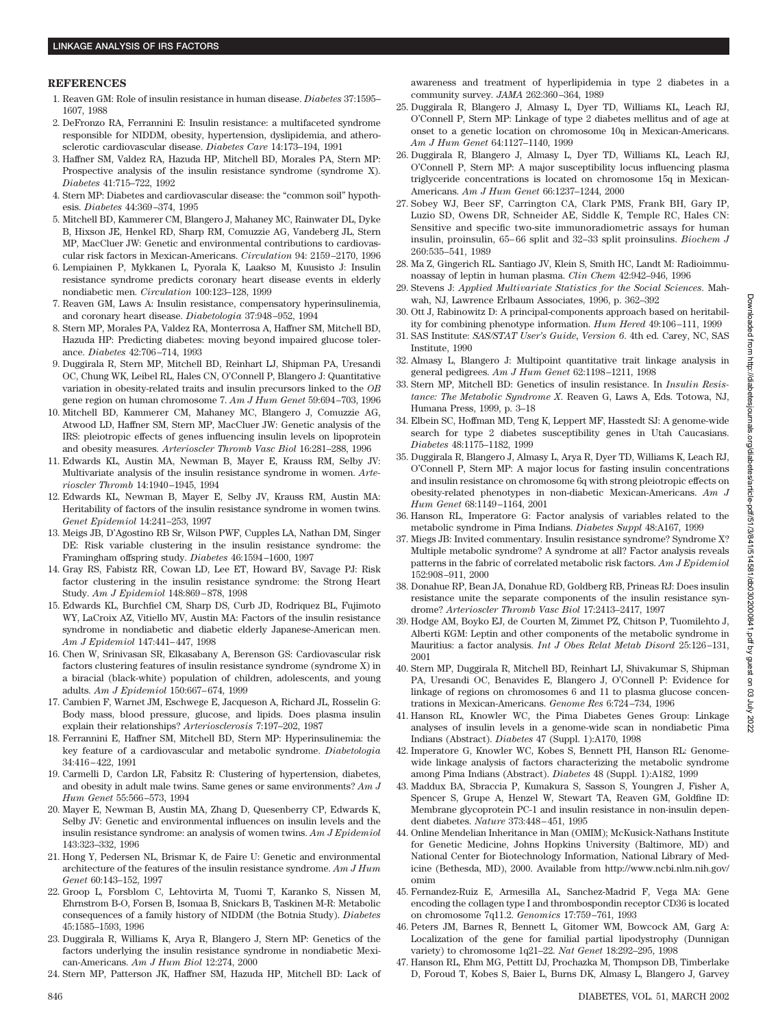#### **REFERENCES**

- 1. Reaven GM: Role of insulin resistance in human disease. *Diabetes* 37:1595– 1607, 1988
- 2. DeFronzo RA, Ferrannini E: Insulin resistance: a multifaceted syndrome responsible for NIDDM, obesity, hypertension, dyslipidemia, and atherosclerotic cardiovascular disease. *Diabetes Care* 14:173–194, 1991
- 3. Haffner SM, Valdez RA, Hazuda HP, Mitchell BD, Morales PA, Stern MP: Prospective analysis of the insulin resistance syndrome (syndrome X). *Diabetes* 41:715–722, 1992
- 4. Stern MP: Diabetes and cardiovascular disease: the "common soil" hypothesis. *Diabetes* 44:369–374, 1995
- 5. Mitchell BD, Kammerer CM, Blangero J, Mahaney MC, Rainwater DL, Dyke B, Hixson JE, Henkel RD, Sharp RM, Comuzzie AG, Vandeberg JL, Stern MP, MacCluer JW: Genetic and environmental contributions to cardiovascular risk factors in Mexican-Americans. *Circulation* 94: 2159–2170, 1996
- 6. Lempiainen P, Mykkanen L, Pyorala K, Laakso M, Kuusisto J: Insulin resistance syndrome predicts coronary heart disease events in elderly nondiabetic men. *Circulation* 100:123–128, 1999
- 7. Reaven GM, Laws A: Insulin resistance, compensatory hyperinsulinemia, and coronary heart disease. *Diabetologia* 37:948–952, 1994
- 8. Stern MP, Morales PA, Valdez RA, Monterrosa A, Haffner SM, Mitchell BD, Hazuda HP: Predicting diabetes: moving beyond impaired glucose tolerance. *Diabetes* 42:706–714, 1993
- 9. Duggirala R, Stern MP, Mitchell BD, Reinhart LJ, Shipman PA, Uresandi OC, Chung WK, Leibel RL, Hales CN, O'Connell P, Blangero J: Quantitative variation in obesity-related traits and insulin precursors linked to the *OB* gene region on human chromosome 7. *Am J Hum Genet* 59:694–703, 1996
- 10. Mitchell BD, Kammerer CM, Mahaney MC, Blangero J, Comuzzie AG, Atwood LD, Haffner SM, Stern MP, MacCluer JW: Genetic analysis of the IRS: pleiotropic effects of genes influencing insulin levels on lipoprotein and obesity measures*. Arterioscler Thromb Vasc Biol* 16:281–288, 1996
- 11. Edwards KL, Austin MA, Newman B, Mayer E, Krauss RM, Selby JV: Multivariate analysis of the insulin resistance syndrome in women. *Arterioscler Thromb* 14:1940–1945, 1994
- 12. Edwards KL, Newman B, Mayer E, Selby JV, Krauss RM, Austin MA: Heritability of factors of the insulin resistance syndrome in women twins. *Genet Epidemiol* 14:241–253, 1997
- 13. Meigs JB, D'Agostino RB Sr, Wilson PWF, Cupples LA, Nathan DM, Singer DE: Risk variable clustering in the insulin resistance syndrome: the Framingham offspring study. *Diabetes* 46:1594–1600, 1997
- 14. Gray RS, Fabistz RR, Cowan LD, Lee ET, Howard BV, Savage PJ: Risk factor clustering in the insulin resistance syndrome: the Strong Heart Study. *Am J Epidemiol* 148:869–878, 1998
- 15. Edwards KL, Burchfiel CM, Sharp DS, Curb JD, Rodriquez BL, Fujimoto WY, LaCroix AZ, Vitiello MV, Austin MA: Factors of the insulin resistance syndrome in nondiabetic and diabetic elderly Japanese-American men. *Am J Epidemiol* 147:441–447, 1998
- 16. Chen W, Srinivasan SR, Elkasabany A, Berenson GS: Cardiovascular risk factors clustering features of insulin resistance syndrome (syndrome X) in a biracial (black-white) population of children, adolescents, and young adults. *Am J Epidemiol* 150:667–674, 1999
- 17. Cambien F, Warnet JM, Eschwege E, Jacqueson A, Richard JL, Rosselin G: Body mass, blood pressure, glucose, and lipids. Does plasma insulin explain their relationships? *Arteriosclerosis* 7:197–202, 1987
- 18. Ferrannini E, Haffner SM, Mitchell BD, Stern MP: Hyperinsulinemia: the key feature of a cardiovascular and metabolic syndrome. *Diabetologia* 34:416–422, 1991
- 19. Carmelli D, Cardon LR, Fabsitz R: Clustering of hypertension, diabetes, and obesity in adult male twins. Same genes or same environments? *Am J Hum Genet* 55:566–573, 1994
- 20. Mayer E, Newman B, Austin MA, Zhang D, Quesenberry CP, Edwards K, Selby JV: Genetic and environmental influences on insulin levels and the insulin resistance syndrome: an analysis of women twins. *Am J Epidemiol* 143:323–332, 1996
- 21. Hong Y, Pedersen NL, Brismar K, de Faire U: Genetic and environmental architecture of the features of the insulin resistance syndrome. *Am J Hum Genet* 60:143–152, 1997
- 22. Groop L, Forsblom C, Lehtovirta M, Tuomi T, Karanko S, Nissen M, Ehrnstrom B-O, Forsen B, Isomaa B, Snickars B, Taskinen M-R: Metabolic consequences of a family history of NIDDM (the Botnia Study). *Diabetes* 45:1585–1593, 1996
- 23. Duggirala R, Williams K, Arya R, Blangero J, Stern MP: Genetics of the factors underlying the insulin resistance syndrome in nondiabetic Mexican-Americans. *Am J Hum Biol* 12:274, 2000
- 24. Stern MP, Patterson JK, Haffner SM, Hazuda HP, Mitchell BD: Lack of

awareness and treatment of hyperlipidemia in type 2 diabetes in a community survey. *JAMA* 262:360–364, 1989

- 25. Duggirala R, Blangero J, Almasy L, Dyer TD, Williams KL, Leach RJ, O'Connell P, Stern MP: Linkage of type 2 diabetes mellitus and of age at onset to a genetic location on chromosome 10q in Mexican-Americans. *Am J Hum Genet* 64:1127–1140, 1999
- 26. Duggirala R, Blangero J, Almasy L, Dyer TD, Williams KL, Leach RJ, O'Connell P, Stern MP: A major susceptibility locus influencing plasma triglyceride concentrations is located on chromosome 15q in Mexican-Americans. *Am J Hum Genet* 66:1237–1244, 2000
- 27. Sobey WJ, Beer SF, Carrington CA, Clark PMS, Frank BH, Gary IP, Luzio SD, Owens DR, Schneider AE, Siddle K, Temple RC, Hales CN: Sensitive and specific two-site immunoradiometric assays for human insulin, proinsulin, 65– 66 split and 32–33 split proinsulins. *Biochem J* 260:535–541, 1989
- 28. Ma Z, Gingerich RL. Santiago JV, Klein S, Smith HC, Landt M: Radioimmunoassay of leptin in human plasma. *Clin Chem* 42:942–946, 1996
- 29. Stevens J: *Applied Multivariate Statistics for the Social Sciences*. Mahwah, NJ, Lawrence Erlbaum Associates, 1996, p. 362–392
- 30. Ott J, Rabinowitz D: A principal-components approach based on heritability for combining phenotype information. *Hum Hered* 49:106–111, 1999
- 31. SAS Institute: *SAS/STAT User's Guide, Version 6*. 4th ed. Carey, NC, SAS Institute, 1990
- 32. Almasy L, Blangero J: Multipoint quantitative trait linkage analysis in general pedigrees. *Am J Hum Genet* 62:1198–1211, 1998
- 33. Stern MP, Mitchell BD: Genetics of insulin resistance. In *Insulin Resistance: The Metabolic Syndrome X*. Reaven G, Laws A, Eds. Totowa, NJ, Humana Press, 1999, p. 3–18
- 34. Elbein SC, Hoffman MD, Teng K, Leppert MF, Hasstedt SJ: A genome-wide search for type 2 diabetes susceptibility genes in Utah Caucasians. *Diabetes* 48:1175–1182, 1999
- 35. Duggirala R, Blangero J, Almasy L, Arya R, Dyer TD, Williams K, Leach RJ, O'Connell P, Stern MP: A major locus for fasting insulin concentrations and insulin resistance on chromosome 6q with strong pleiotropic effects on obesity-related phenotypes in non-diabetic Mexican-Americans. *Am J Hum Genet* 68:1149–1164, 2001
- 36. Hanson RL, Imperatore G: Factor analysis of variables related to the metabolic syndrome in Pima Indians. *Diabetes Suppl* 48:A167, 1999
- 37. Miegs JB: Invited commentary. Insulin resistance syndrome? Syndrome X? Multiple metabolic syndrome? A syndrome at all? Factor analysis reveals patterns in the fabric of correlated metabolic risk factors. *Am J Epidemiol* 152:908–911, 2000
- 38. Donahue RP, Bean JA, Donahue RD, Goldberg RB, Prineas RJ: Does insulin resistance unite the separate components of the insulin resistance syndrome? *Arterioscler Thromb Vasc Biol* 17:2413–2417, 1997
- 39. Hodge AM, Boyko EJ, de Courten M, Zimmet PZ, Chitson P, Tuomilehto J, Alberti KGM: Leptin and other components of the metabolic syndrome in Mauritius: a factor analysis. *Int J Obes Relat Metab Disord* 25:126–131, 2001
- 40. Stern MP, Duggirala R, Mitchell BD, Reinhart LJ, Shivakumar S, Shipman PA, Uresandi OC, Benavides E, Blangero J, O'Connell P: Evidence for linkage of regions on chromosomes 6 and 11 to plasma glucose concentrations in Mexican-Americans. *Genome Res* 6:724–734, 1996
- 41. Hanson RL, Knowler WC, the Pima Diabetes Genes Group: Linkage analyses of insulin levels in a genome-wide scan in nondiabetic Pima Indians (Abstract). *Diabetes* 47 (Suppl. 1):A170, 1998
- 42. Imperatore G, Knowler WC, Kobes S, Bennett PH, Hanson RL: Genomewide linkage analysis of factors characterizing the metabolic syndrome among Pima Indians (Abstract). *Diabetes* 48 (Suppl. 1):A182, 1999
- 43. Maddux BA, Sbraccia P, Kumakura S, Sasson S, Youngren J, Fisher A, Spencer S, Grupe A, Henzel W, Stewart TA, Reaven GM, Goldfine ID: Membrane glycoprotein PC-1 and insulin resistance in non-insulin dependent diabetes. *Nature* 373:448–451, 1995
- 44. Online Mendelian Inheritance in Man (OMIM); McKusick-Nathans Institute for Genetic Medicine, Johns Hopkins University (Baltimore, MD) and National Center for Biotechnology Information, National Library of Medicine (Bethesda, MD), 2000. Available from http://www.ncbi.nlm.nih.gov/ omim
- 45. Fernandez-Ruiz E, Armesilla AL, Sanchez-Madrid F, Vega MA: Gene encoding the collagen type I and thrombospondin receptor CD36 is located on chromosome 7q11.2. *Genomics* 17:759–761, 1993
- 46. Peters JM, Barnes R, Bennett L, Gitomer WM, Bowcock AM, Garg A: Localization of the gene for familial partial lipodystrophy (Dunnigan variety) to chromosome 1q21–22. *Nat Genet* 18:292–295, 1998
- 47. Hanson RL, Ehm MG, Pettitt DJ, Prochazka M, Thompson DB, Timberlake D, Foroud T, Kobes S, Baier L, Burns DK, Almasy L, Blangero J, Garvey